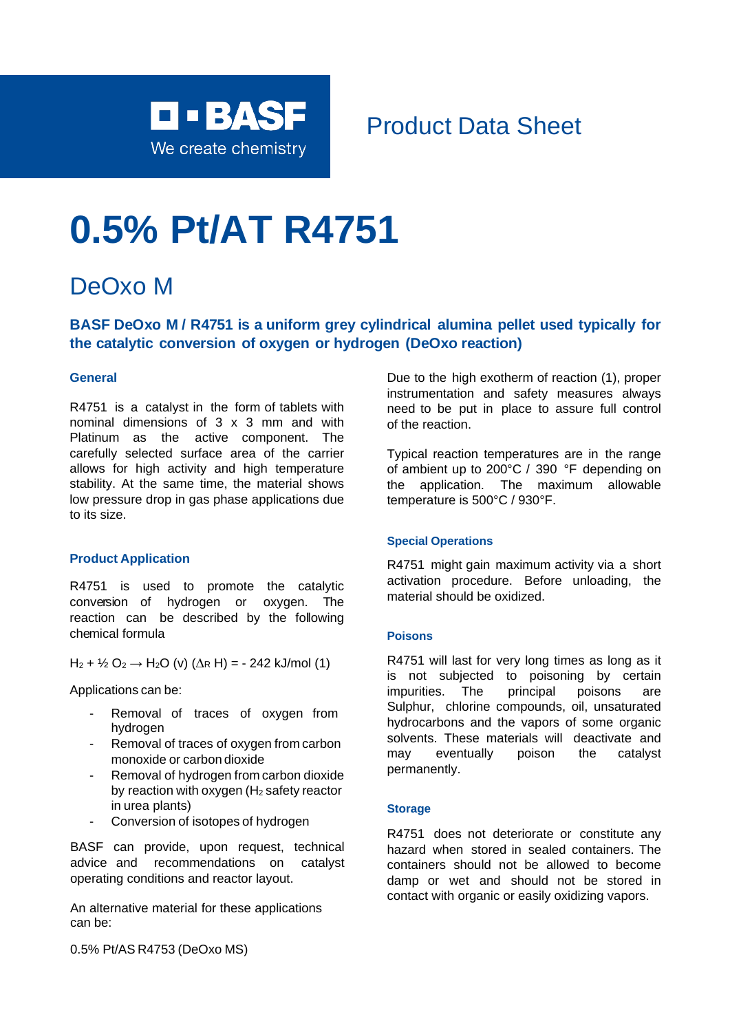

## Product Data Sheet

# **0.5% Pt/AT R4751**

## DeOxo M

## **BASF DeOxo M / R4751 is a uniform grey cylindrical alumina pellet used typically for the catalytic conversion of oxygen or hydrogen (DeOxo reaction)**

#### **General**

R4751 is a catalyst in the form of tablets with nominal dimensions of 3 x 3 mm and with Platinum as the active component. The carefully selected surface area of the carrier allows for high activity and high temperature stability. At the same time, the material shows low pressure drop in gas phase applications due to its size.

#### **Product Application**

R4751 is used to promote the catalytic conversion of hydrogen or oxygen. The reaction can be described by the following chemical formula

 $H_2 + \frac{1}{2} O_2 \rightarrow H_2 O$  (v) ( $\Delta$ R H) = - 242 kJ/mol (1)

Applications can be:

- Removal of traces of oxygen from hydrogen
- Removal of traces of oxygen from carbon monoxide or carbon dioxide
- Removal of hydrogen from carbon dioxide by reaction with oxygen  $(H<sub>2</sub>$  safety reactor in urea plants)
- Conversion of isotopes of hydrogen

BASF can provide, upon request, technical advice and recommendations on catalyst operating conditions and reactor layout.

An alternative material for these applications can be:

0.5% Pt/AS R4753 (DeOxo MS)

Due to the high exotherm of reaction (1), proper instrumentation and safety measures always need to be put in place to assure full control of the reaction.

Typical reaction temperatures are in the range of ambient up to 200°C / 390 °F depending on the application. The maximum allowable temperature is 500°C / 930°F.

#### **Special Operations**

R4751 might gain maximum activity via a short activation procedure. Before unloading, the material should be oxidized.

#### **Poisons**

R4751 will last for very long times as long as it is not subjected to poisoning by certain impurities. The principal poisons are Sulphur, chlorine compounds, oil, unsaturated hydrocarbons and the vapors of some organic solvents. These materials will deactivate and may eventually poison the catalyst permanently.

#### **Storage**

R4751 does not deteriorate or constitute any hazard when stored in sealed containers. The containers should not be allowed to become damp or wet and should not be stored in contact with organic or easily oxidizing vapors.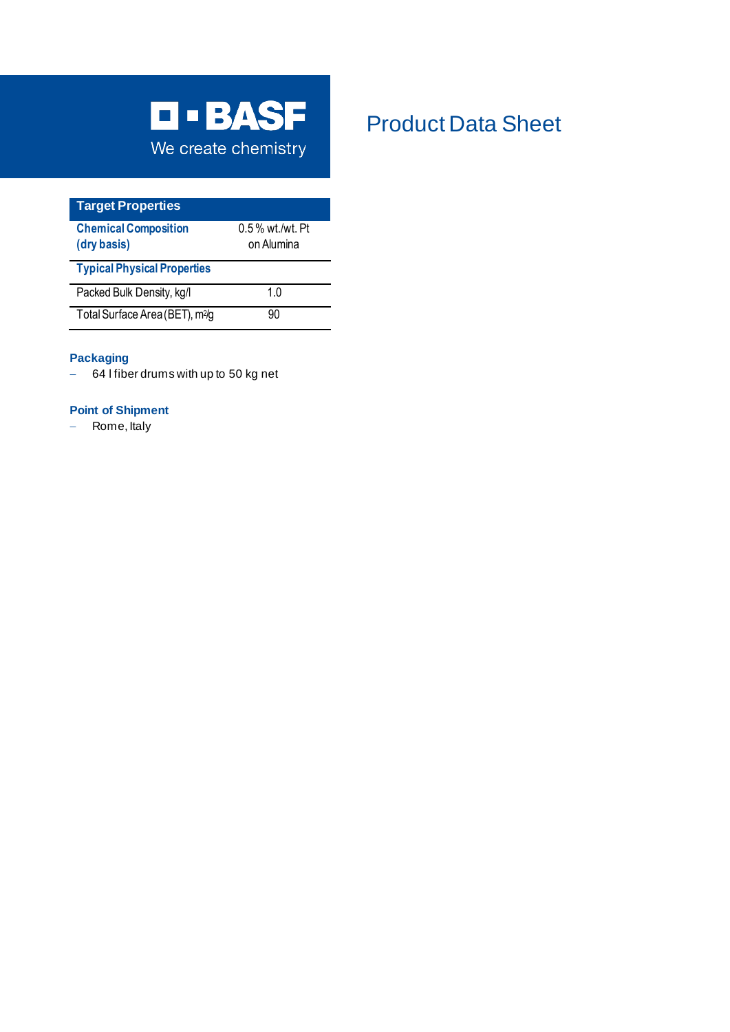

| <b>Target Properties</b>                   |                                  |
|--------------------------------------------|----------------------------------|
| <b>Chemical Composition</b><br>(dry basis) | $0.5\%$ wt./wt. Pt<br>on Alumina |
| <b>Typical Physical Properties</b>         |                                  |
| Packed Bulk Density, kg/l                  | 1 0                              |
| Total Surface Area (BET), m <sup>2/g</sup> | 90                               |

#### **Packaging**

− 64 l fiber drums with up to 50 kg net

#### **Point of Shipment**

− Rome, Italy

# Product Data Sheet